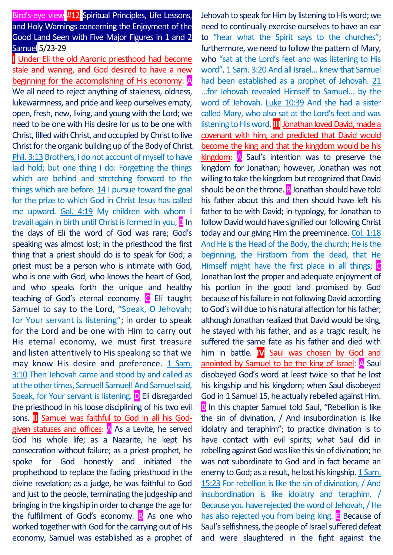# Bird's-eye view #12 Spiritual Principles, Life Lessons, and Holy Warnings concerning the Enjoyment of the Good Land Seen with Five Major Figures in 1 and 2 Samuel 5/23‐29

**I** Under Eli the old Aaronic priesthood had become stale and waning, and God desired to have a new beginning for the accomplishing of His economy: A We all need to reject anything of staleness, oldness, lukewarmness, and pride and keep ourselves empty, open, fresh, new, living, and young with the Lord; we need to be one with His desire for us to be one with Christ, filled with Christ, and occupied by Christ to live Christ for the organic building up of the Body of Christ. Phil. 3:13 Brothers, I do not account of myself to have laid hold; but one thing I do: Forgetting the things which are behind and stretching forward to the things which are before.  $14$  I pursue toward the goal for the prize to which God in Christ Jesus has called me upward. Gal. 4:19 My children with whom I travail again in birth until Christ is formed in you,  $\mathbf{B}$  In the days of Eli the word of God was rare; God's speaking was almost lost; in the priesthood the first thing that a priest should do is to speak for God; a priest must be a person who is intimate with God, who is one with God, who knows the heart of God, and who speaks forth the unique and healthy teaching of God's eternal economy. C Eli taught Samuel to say to the Lord, "Speak, O Jehovah; for Your servant is listening"; in order to speak for the Lord and be one with Him to carry out His eternal economy, we must first treasure and listen attentively to His speaking so that we may know His desire and preference. 1 Sam. 3:10 Then Jehovah came and stood by and called as at the other times, Samuel! Samuel! And Samuel said, Speak, for Your servant is listening. D Eli disregarded the priesthood in his loose disciplining of his two evil sons. **II** Samuel was faithful to God in all his Godgiven statuses and offices: A As a Levite, he served God his whole life; as a Nazarite, he kept his consecration without failure; as a priest-prophet, he spoke for God honestly and initiated the prophethood to replace the fading priesthood in the divine revelation; as a judge, he was faithful to God and just to the people, terminating the judgeship and bringing in the kingship in order to change the age for the fulfillment of God's economy.  $\overline{B}$  As one who worked together with God for the carrying out of His economy, Samuel was established as a prophet of

Jehovah to speak for Him by listening to His word; we need to continually exercise ourselves to have an ear to "hear what the Spirit says to the churches"; furthermore, we need to follow the pattern of Mary, who "sat at the Lord's feet and was listening to His word". 1 Sam. 3:20 And all Israel… knew that Samuel had been established as a prophet of Jehovah. 21 …for Jehovah revealed Himself to Samuel… by the word of Jehovah. Luke 10:39 And she had a sister called Mary, who also sat at the Lord's feet and was listening to His word. **III** Jonathan loved David, made a covenant with him, and predicted that David would become the king and that the kingdom would be his kingdom: A Saul's intention was to preserve the kingdom for Jonathan; however, Jonathan was not willing to take the kingdom but recognized that David should be on the throne. **B** Jonathan should have told his father about this and then should have left his father to be with David; in typology, for Jonathan to follow David would have signified our following Christ today and our giving Him the preeminence. Col. 1:18 And He is the Head of the Body, the church; He is the beginning, the Firstborn from the dead, that He Himself might have the first place in all things;  $\bigcirc$ Jonathan lost the proper and adequate enjoyment of his portion in the good land promised by God because of his failure in not following David according to God's will due to his natural affection for his father; although Jonathan realized that David would be king, he stayed with his father, and as a tragic result, he suffered the same fate as his father and died with him in battle. **IV** Saul was chosen by God and anointed by Samuel to be the king of Israel: A Saul disobeyed God's word at least twice so that he lost his kingship and his kingdom; when Saul disobeyed God in 1 Samuel 15, he actually rebelled against Him. **B** In this chapter Samuel told Saul, "Rebellion is like the sin of divination, / And insubordination is like idolatry and teraphim"; to practice divination is to have contact with evil spirits; what Saul did in rebelling against God was like this sin of divination; he was not subordinate to God and in fact became an enemy to God; as a result, he lost his kingship. 1 Sam. 15:23 For rebellion is like the sin of divination, / And insubordination is like idolatry and teraphim. / Because you have rejected the word of Jehovah, / He has also rejected you from being king. **E** Because of Saul's selfishness, the people of Israel suffered defeat and were slaughtered in the fight against the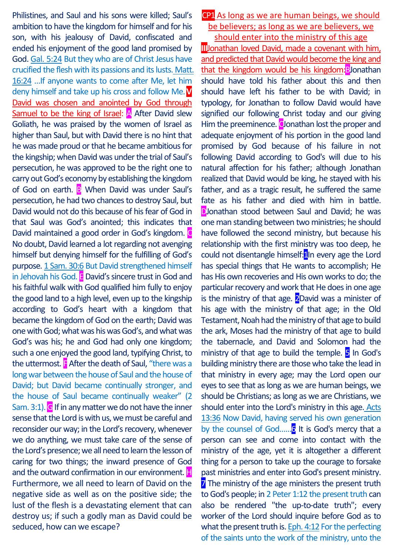Philistines, and Saul and his sons were killed; Saul's ambition to have the kingdom for himself and for his son, with his jealousy of David, confiscated and ended his enjoyment of the good land promised by God. Gal. 5:24 But they who are of Christ Jesus have crucified the flesh with its passions and its lusts. Matt. 16:24 …If anyone wants to come after Me, let him deny himself and take up his cross and follow Me.**V** David was chosen and anointed by God through Samuel to be the king of Israel:  $\overline{A}$  After David slew Goliath, he was praised by the women of Israel as higher than Saul, but with David there is no hint that he was made proud or that he became ambitious for the kingship; when David was under the trial of Saul's persecution, he was approved to be the right one to carry out God's economy by establishing the kingdom of God on earth. B When David was under Saul's persecution, he had two chances to destroy Saul, but David would not do this because of his fear of God in that Saul was God's anointed; this indicates that David maintained a good order in God's kingdom. No doubt, David learned a lot regarding not avenging himself but denying himself for the fulfilling of God's purpose. 1 Sam. 30:6 But David strengthened himself in Jehovah his God. **E** David's sincere trust in God and his faithful walk with God qualified him fully to enjoy the good land to a high level, even up to the kingship according to God's heart with a kingdom that became the kingdom of God on the earth; David was one with God; what was his was God's, and what was God's was his; he and God had only one kingdom; such a one enjoyed the good land, typifying Christ, to the uttermost.  $\mathbf{F}$  After the death of Saul, "there was a long war between the house of Saul and the house of David; but David became continually stronger, and the house of Saul became continually weaker" (2 Sam. 3:1).  $\bigcirc$  If in any matter we do not have the inner sense that the Lord is with us, we must be careful and reconsider our way; in the Lord's recovery, whenever we do anything, we must take care of the sense of the Lord's presence; we all need to learn the lesson of caring for two things; the inward presence of God and the outward confirmation in our environment.  $\mathbf{H}$ Furthermore, we all need to learn of David on the negative side as well as on the positive side; the lust of the flesh is a devastating element that can destroy us; if such a godly man as David could be seduced, how can we escape?

## CP1 As long as we are human beings, we should be believers; as long as we are believers, we

should enter into the ministry of this age **III**Jonathan loved David, made a covenant with him, and predicted that David would become the king and that the kingdom would be his kingdom:BJonathan should have told his father about this and then should have left his father to be with David; in typology, for Jonathan to follow David would have signified our following Christ today and our giving Him the preeminence. Clonathan lost the proper and adequate enjoyment of his portion in the good land promised by God because of his failure in not following David according to God's will due to his natural affection for his father; although Jonathan realized that David would be king, he stayed with his father, and as a tragic result, he suffered the same fate as his father and died with him in battle. DJonathan stood between Saul and David; he was one man standing between two ministries; he should have followed the second ministry, but because his relationship with the first ministry was too deep, he could not disentangle himself:<sup>1</sup>|In every age the Lord has special things that He wants to accomplish; He has His own recoveries and His own works to do; the particular recovery and work that He does in one age is the ministry of that age.  $2$ David was a minister of his age with the ministry of that age; in the Old Testament, Noah had the ministry of that age to build the ark, Moses had the ministry of that age to build the tabernacle, and David and Solomon had the ministry of that age to build the temple.  $5$  In God's building ministry there are those who take the lead in that ministry in every age; may the Lord open our eyes to see that as long as we are human beings, we should be Christians; as long as we are Christians, we should enter into the Lord's ministry in this age. Acts 13:36 Now David, having served his own generation by the counsel of God......<sup>6</sup> It is God's mercy that a person can see and come into contact with the ministry of the age, yet it is altogether a different thing for a person to take up the courage to forsake past ministries and enter into God's present ministry. **7** The ministry of the age ministers the present truth to God's people; in 2 Peter 1:12 the present truth can also be rendered "the up-to-date truth"; every worker of the Lord should inquire before God as to what the present truth is. Eph. 4:12 For the perfecting of the saints unto the work of the ministry, unto the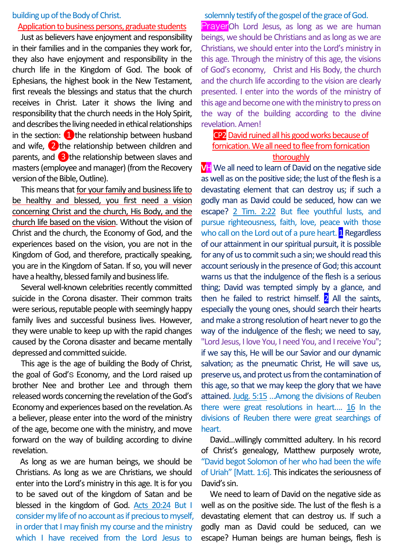#### building up of the Body of Christ.

## Application to business persons, graduate students

Just as believers have enjoyment and responsibility in their families and in the companies they work for, they also have enjoyment and responsibility in the church life in the Kingdom of God. The book of Ephesians, the highest book in the New Testament, first reveals the blessings and status that the church receives in Christ. Later it shows the living and responsibility that the church needsin the Holy Spirit, and describes the living needed in ethical relationships in the section:  $\Box$  the relationship between husband and wife, ❷the relationship between children and parents, and  $\overline{3}$  the relationship between slaves and masters (employee and manager) (from the Recovery version of the Bible, Outline).

This means that for your family and business life to be healthy and blessed, you first need a vision concerning Christ and the church, His Body, and the church life based on the vision. Without the vision of Christ and the church, the Economy of God, and the experiences based on the vision, you are not in the Kingdom of God, and therefore, practically speaking, you are in the Kingdom of Satan. If so, you will never have a healthy, blessed family and business life.

Several well-known celebrities recently committed suicide in the Corona disaster. Their common traits were serious, reputable people with seemingly happy family lives and successful business lives. However, they were unable to keep up with the rapid changes caused by the Corona disaster and became mentally depressed and committed suicide.

This age is the age of building the Body of Christ, the goal of God's Economy, and the Lord raised up brother Nee and brother Lee and through them released words concerning the revelation of the God's Economy and experiences based on the revelation.As a believer, please enter into the word of the ministry of the age, become one with the ministry, and move forward on the way of building according to divine revelation.

As long as we are human beings, we should be Christians. As long as we are Christians, we should enter into the Lord's ministry in this age. It is for you to be saved out of the kingdom of Satan and be blessed in the kingdom of God. Acts 20:24 But I consider my life of no account as if precious to myself, in order that I may finish my course and the ministry which I have received from the Lord Jesus to

#### solemnly testify of the gospel of the grace of God.

PrayerOh Lord Jesus, as long as we are human beings, we should be Christians and as long as we are Christians, we should enter into the Lord's ministry in this age. Through the ministry of this age, the visions of God's economy, Christ and His Body, the church and the church life according to the vision are clearly presented. I enter into the words of the ministry of this age and become one with the ministry to press on the way of the building according to the divine revelation. Amen!

## CP2David ruined all his good works because of fornication. We all need to flee from fornication thoroughly

**VH** We all need to learn of David on the negative side as well as on the positive side; the lust of the flesh is a devastating element that can destroy us; if such a godly man as David could be seduced, how can we escape? 2 Tim. 2:22 But flee youthful lusts, and pursue righteousness, faith, love, peace with those who call on the Lord out of a pure heart. **1** Regardless of our attainment in our spiritual pursuit, it is possible for any of us to commit such a sin; we should read this account seriously in the presence of God; this account warns us that the indulgence of the flesh is a serious thing; David was tempted simply by a glance, and then he failed to restrict himself.  $2$  All the saints, especially the young ones, should search their hearts and make a strong resolution of heart never to go the way of the indulgence of the flesh; we need to say, "Lord Jesus, I love You, I need You, and I receive You"; if we say this, He will be our Savior and our dynamic salvation; as the pneumatic Christ, He will save us, preserve us, and protect us from the contamination of this age, so that we may keep the glory that we have attained. Judg. 5:15 …Among the divisions of Reuben there were great resolutions in heart…. 16 In the divisions of Reuben there were great searchings of heart.

David…willingly committed adultery. In his record of Christ's genealogy, Matthew purposely wrote, "David begot Solomon of her who had been the wife of Uriah" [Matt. 1:6]. This indicates the seriousness of David's sin.

We need to learn of David on the negative side as well as on the positive side. The lust of the flesh is a devastating element that can destroy us. If such a godly man as David could be seduced, can we escape? Human beings are human beings, flesh is